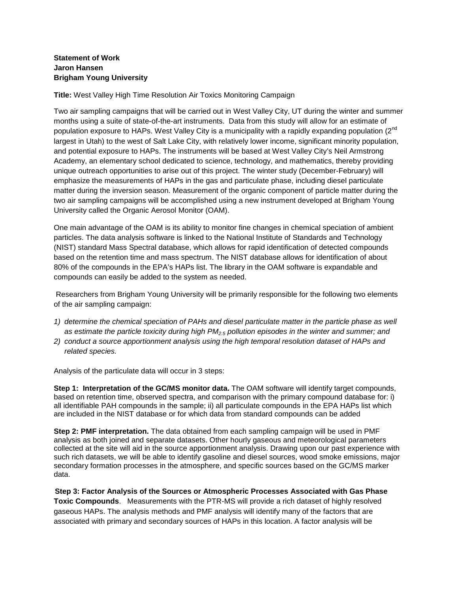## **Statement of Work Jaron Hansen Brigham Young University**

**Title:** West Valley High Time Resolution Air Toxics Monitoring Campaign

Two air sampling campaigns that will be carried out in West Valley City, UT during the winter and summer months using a suite of state-of-the-art instruments. Data from this study will allow for an estimate of population exposure to HAPs. West Valley City is a municipality with a rapidly expanding population (2<sup>nd</sup>) largest in Utah) to the west of Salt Lake City, with relatively lower income, significant minority population, and potential exposure to HAPs. The instruments will be based at West Valley City's Neil Armstrong Academy, an elementary school dedicated to science, technology, and mathematics, thereby providing unique outreach opportunities to arise out of this project. The winter study (December-February) will emphasize the measurements of HAPs in the gas and particulate phase, including diesel particulate matter during the inversion season. Measurement of the organic component of particle matter during the two air sampling campaigns will be accomplished using a new instrument developed at Brigham Young University called the Organic Aerosol Monitor (OAM).

One main advantage of the OAM is its ability to monitor fine changes in chemical speciation of ambient particles. The data analysis software is linked to the National Institute of Standards and Technology (NIST) standard Mass Spectral database, which allows for rapid identification of detected compounds based on the retention time and mass spectrum. The NIST database allows for identification of about 80% of the compounds in the EPA's HAPs list. The library in the OAM software is expandable and compounds can easily be added to the system as needed.

Researchers from Brigham Young University will be primarily responsible for the following two elements of the air sampling campaign:

- *1) determine the chemical speciation of PAHs and diesel particulate matter in the particle phase as well as estimate the particle toxicity during high PM2.5 pollution episodes in the winter and summer; and*
- *2) conduct a source apportionment analysis using the high temporal resolution dataset of HAPs and related species.*

Analysis of the particulate data will occur in 3 steps:

**Step 1: Interpretation of the GC/MS monitor data.** The OAM software will identify target compounds, based on retention time, observed spectra, and comparison with the primary compound database for: i) all identifiable PAH compounds in the sample; ii) all particulate compounds in the EPA HAPs list which are included in the NIST database or for which data from standard compounds can be added

**Step 2: PMF interpretation.** The data obtained from each sampling campaign will be used in PMF analysis as both joined and separate datasets. Other hourly gaseous and meteorological parameters collected at the site will aid in the source apportionment analysis. Drawing upon our past experience with such rich datasets, we will be able to identify gasoline and diesel sources, wood smoke emissions, major secondary formation processes in the atmosphere, and specific sources based on the GC/MS marker data.

 **Step 3: Factor Analysis of the Sources or Atmospheric Processes Associated with Gas Phase Toxic Compounds**. Measurements with the PTR-MS will provide a rich dataset of highly resolved gaseous HAPs. The analysis methods and PMF analysis will identify many of the factors that are associated with primary and secondary sources of HAPs in this location. A factor analysis will be